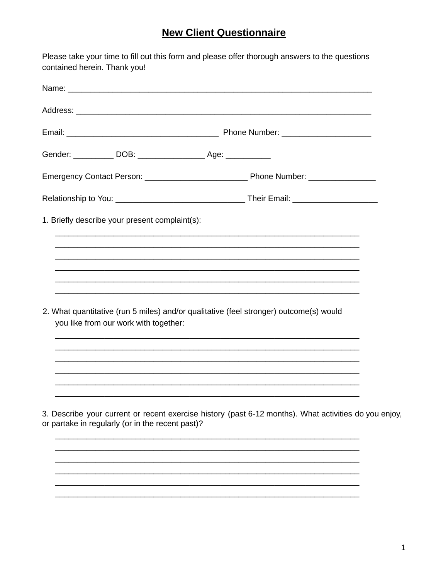## **New Client Questionnaire**

Please take your time to fill out this form and please offer thorough answers to the questions contained herein. Thank you!

| Gender: ____________ DOB: _____________________ Age: ____________ |                                       |                                                                                                       |  |
|-------------------------------------------------------------------|---------------------------------------|-------------------------------------------------------------------------------------------------------|--|
|                                                                   |                                       |                                                                                                       |  |
|                                                                   |                                       |                                                                                                       |  |
| 1. Briefly describe your present complaint(s):                    |                                       |                                                                                                       |  |
|                                                                   |                                       |                                                                                                       |  |
|                                                                   |                                       |                                                                                                       |  |
|                                                                   |                                       |                                                                                                       |  |
|                                                                   |                                       | 2. What quantitative (run 5 miles) and/or qualitative (feel stronger) outcome(s) would                |  |
|                                                                   | you like from our work with together: |                                                                                                       |  |
|                                                                   |                                       |                                                                                                       |  |
|                                                                   |                                       |                                                                                                       |  |
|                                                                   |                                       |                                                                                                       |  |
| or partake in regularly (or in the recent past)?                  |                                       | 3. Describe your current or recent exercise history (past 6-12 months). What activities do you enjoy, |  |
|                                                                   |                                       |                                                                                                       |  |
|                                                                   |                                       |                                                                                                       |  |
|                                                                   |                                       |                                                                                                       |  |
|                                                                   |                                       |                                                                                                       |  |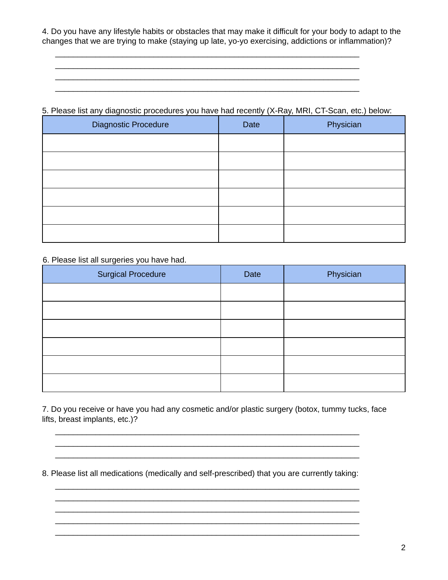4. Do you have any lifestyle habits or obstacles that may make it difficult for your body to adapt to the changes that we are trying to make (staying up late, yo-yo exercising, addictions or inflammation)?

## 5. Please list any diagnostic procedures you have had recently (X-Ray, MRI, CT-Scan, etc.) below:

 $\overline{\phantom{a}}$  , and the contract of the contract of the contract of the contract of the contract of the contract of the contract of the contract of the contract of the contract of the contract of the contract of the contrac  $\mathcal{L}_\text{max}$  and  $\mathcal{L}_\text{max}$  and  $\mathcal{L}_\text{max}$  and  $\mathcal{L}_\text{max}$  and  $\mathcal{L}_\text{max}$  and  $\mathcal{L}_\text{max}$ 

| <b>Diagnostic Procedure</b> | Date | Physician |
|-----------------------------|------|-----------|
|                             |      |           |
|                             |      |           |
|                             |      |           |
|                             |      |           |
|                             |      |           |
|                             |      |           |

## 6. Please list all surgeries you have had.

| <b>Surgical Procedure</b> | Date | Physician |
|---------------------------|------|-----------|
|                           |      |           |
|                           |      |           |
|                           |      |           |
|                           |      |           |
|                           |      |           |
|                           |      |           |

7. Do you receive or have you had any cosmetic and/or plastic surgery (botox, tummy tucks, face lifts, breast implants, etc.)?

 $\overline{\phantom{a}}$  , and the contribution of the contribution of the contribution of the contribution of the contribution of the contribution of the contribution of the contribution of the contribution of the contribution of the  $\overline{\phantom{a}}$  , and the contribution of the contribution of the contribution of the contribution of the contribution of the contribution of the contribution of the contribution of the contribution of the contribution of the

8. Please list all medications (medically and self-prescribed) that you are currently taking:

\_\_\_\_\_\_\_\_\_\_\_\_\_\_\_\_\_\_\_\_\_\_\_\_\_\_\_\_\_\_\_\_\_\_\_\_\_\_\_\_\_\_\_\_\_\_\_\_\_\_\_\_\_\_\_\_\_\_\_\_\_\_\_\_\_\_\_\_  $\mathcal{L}_\text{max}$  and  $\mathcal{L}_\text{max}$  and  $\mathcal{L}_\text{max}$  and  $\mathcal{L}_\text{max}$  and  $\mathcal{L}_\text{max}$  and  $\mathcal{L}_\text{max}$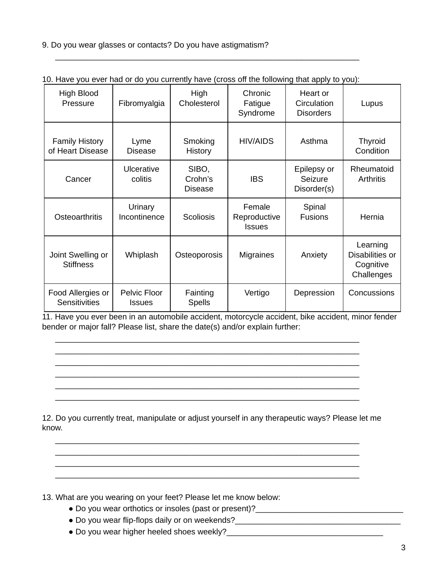9. Do you wear glasses or contacts? Do you have astigmatism?

| to. Have you cvcl had or do you carrently have foross on the following that apply to you). |                               |                                    |                                         |                                             |                                                        |
|--------------------------------------------------------------------------------------------|-------------------------------|------------------------------------|-----------------------------------------|---------------------------------------------|--------------------------------------------------------|
| High Blood<br>Pressure                                                                     | Fibromyalgia                  | High<br>Cholesterol                | Chronic<br>Fatigue<br>Syndrome          | Heart or<br>Circulation<br><b>Disorders</b> | Lupus                                                  |
| <b>Family History</b><br>of Heart Disease                                                  | Lyme<br><b>Disease</b>        | Smoking<br><b>History</b>          | <b>HIV/AIDS</b>                         | Asthma                                      | Thyroid<br>Condition                                   |
| Cancer                                                                                     | Ulcerative<br>colitis         | SIBO,<br>Crohn's<br><b>Disease</b> | <b>IBS</b>                              | Epilepsy or<br>Seizure<br>Disorder(s)       | Rheumatoid<br><b>Arthritis</b>                         |
| Osteoarthritis                                                                             | Urinary<br>Incontinence       | <b>Scoliosis</b>                   | Female<br>Reproductive<br><b>Issues</b> | Spinal<br><b>Fusions</b>                    | Hernia                                                 |
| Joint Swelling or<br><b>Stiffness</b>                                                      | Whiplash                      | Osteoporosis                       | <b>Migraines</b>                        | Anxiety                                     | Learning<br>Disabilities or<br>Cognitive<br>Challenges |
| Food Allergies or<br>Sensitivities                                                         | Pelvic Floor<br><b>Issues</b> | Fainting<br><b>Spells</b>          | Vertigo                                 | Depression                                  | Concussions                                            |

## 10. Have you ever had or do you currently have (cross off the following that apply to you):

11. Have you ever been in an automobile accident, motorcycle accident, bike accident, minor fender bender or major fall? Please list, share the date(s) and/or explain further:

12. Do you currently treat, manipulate or adjust yourself in any therapeutic ways? Please let me know.

\_\_\_\_\_\_\_\_\_\_\_\_\_\_\_\_\_\_\_\_\_\_\_\_\_\_\_\_\_\_\_\_\_\_\_\_\_\_\_\_\_\_\_\_\_\_\_\_\_\_\_\_\_\_\_\_\_\_\_\_\_\_\_\_\_\_\_\_

13. What are you wearing on your feet? Please let me know below:

- Do you wear orthotics or insoles (past or present)?\_\_\_\_\_\_\_\_\_\_\_\_\_\_\_\_\_\_\_\_\_\_\_\_\_\_\_
- Do you wear flip-flops daily or on weekends?
- Do you wear higher heeled shoes weekly?